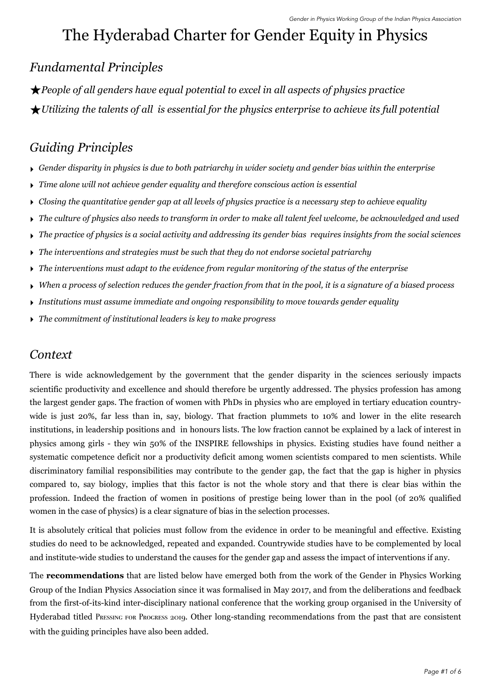# The Hyderabad Charter for Gender Equity in Physics

## *Fundamental Principles*

★*People of all genders have equal potential to excel in all aspects of physics practice*  ★*Utilizing the talents of all is essential for the physics enterprise to achieve its full potential* 

## *Guiding Principles*

- ‣ *Gender disparity in physics is due to both patriarchy in wider society and gender bias within the enterprise*
- ‣ *Time alone will not achieve gender equality and therefore conscious action is essential*
- ‣ *Closing the quantitative gender gap at all levels of physics practice is a necessary step to achieve equality*
- ‣ *The culture of physics also needs to transform in order to make all talent feel welcome, be acknowledged and used*
- ‣ *The practice of physics is a social activity and addressing its gender bias requires insights from the social sciences*
- ‣ *The interventions and strategies must be such that they do not endorse societal patriarchy*
- ‣ *The interventions must adapt to the evidence from regular monitoring of the status of the enterprise*
- ‣ *When a process of selection reduces the gender fraction from that in the pool, it is a signature of a biased process*
- ‣ *Institutions must assume immediate and ongoing responsibility to move towards gender equality*
- ‣ *The commitment of institutional leaders is key to make progress*

### *Context*

There is wide acknowledgement by the government that the gender disparity in the sciences seriously impacts scientific productivity and excellence and should therefore be urgently addressed. The physics profession has among the largest gender gaps. The fraction of women with PhDs in physics who are employed in tertiary education countrywide is just 20%, far less than in, say, biology. That fraction plummets to 10% and lower in the elite research institutions, in leadership positions and in honours lists. The low fraction cannot be explained by a lack of interest in physics among girls - they win 50% of the INSPIRE fellowships in physics. Existing studies have found neither a systematic competence deficit nor a productivity deficit among women scientists compared to men scientists. While discriminatory familial responsibilities may contribute to the gender gap, the fact that the gap is higher in physics compared to, say biology, implies that this factor is not the whole story and that there is clear bias within the profession. Indeed the fraction of women in positions of prestige being lower than in the pool (of 20% qualified women in the case of physics) is a clear signature of bias in the selection processes.

It is absolutely critical that policies must follow from the evidence in order to be meaningful and effective. Existing studies do need to be acknowledged, repeated and expanded. Countrywide studies have to be complemented by local and institute-wide studies to understand the causes for the gender gap and assess the impact of interventions if any.

The **recommendations** that are listed below have emerged both from the work of the Gender in Physics Working Group of the Indian Physics Association since it was formalised in May 2017, and from the deliberations and feedback from the first-of-its-kind inter-disciplinary national conference that the working group organised in the University of Hyderabad titled PRESSING FOR PROGRESS 2019. Other long-standing recommendations from the past that are consistent with the guiding principles have also been added.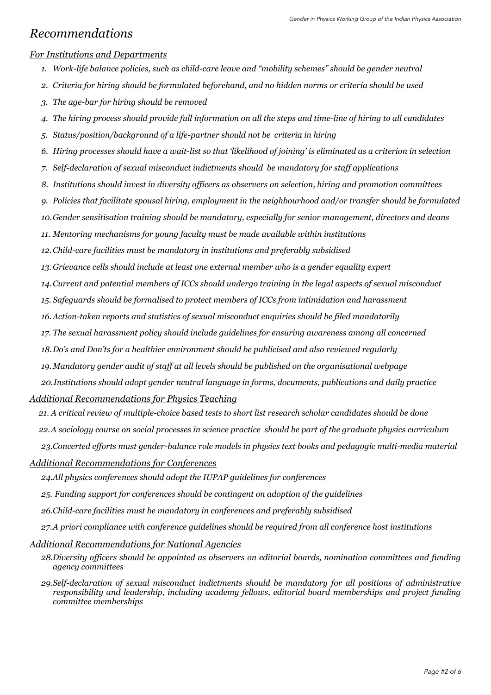### *Recommendations*

### *For Institutions and Departments*

- *1. Work-life balance policies, such as child-care leave and "mobility schemes" should be gender neutral*
- *2. Criteria for hiring should be formulated beforehand, and no hidden norms or criteria should be used*
- *3. The age-bar for hiring should be removed*
- *4. The hiring process should provide full information on all the steps and time-line of hiring to all candidates*
- *5. Status/position/background of a life-partner should not be criteria in hiring*
- *6. Hiring processes should have a wait-list so that 'likelihood of joining' is eliminated as a criterion in selection*
- *7. Self-declaration of sexual misconduct indictments should be mandatory for staff applications*
- *8. Institutions should invest in diversity officers as observers on selection, hiring and promotion committees*
- *9. Policies that facilitate spousal hiring, employment in the neighbourhood and/or transfer should be formulated*
- *10.Gender sensitisation training should be mandatory, especially for senior management, directors and deans*
- *11. Mentoring mechanisms for young faculty must be made available within institutions*
- *12.Child-care facilities must be mandatory in institutions and preferably subsidised*
- *13. Grievance cells should include at least one external member who is a gender equality expert*
- *14.Current and potential members of ICCs should undergo training in the legal aspects of sexual misconduct*
- *15. Safeguards should be formalised to protect members of ICCs from intimidation and harassment*
- *16.Action-taken reports and statistics of sexual misconduct enquiries should be filed mandatorily*
- *17. The sexual harassment policy should include guidelines for ensuring awareness among all concerned*
- *18.Do's and Don'ts for a healthier environment should be publicised and also reviewed regularly*
- *19.Mandatory gender audit of staff at all levels should be published on the organisational webpage*
- *20.Institutions should adopt gender neutral language in forms, documents, publications and daily practice*

#### *Additional Recommendations for Physics Teaching*

- *21. A critical review of multiple-choice based tests to short list research scholar candidates should be done*
- *22.A sociology course on social processes in science practice should be part of the graduate physics curriculum*
- *23.Concerted efforts must gender-balance role models in physics text books and pedagogic multi-media material*
- *Additional Recommendations for Conferences*

*24.All physics conferences should adopt the [IUPAP guidelines for conferences](https://wp.csiro.au/icwip2020/sponsorship/conference-conduct/)* 

- *25. Funding support for conferences should be contingent on adoption of the guidelines*
- *26.Child-care facilities must be mandatory in conferences and preferably subsidised*
- *27.A priori compliance with conference guidelines should be required from all conference host institutions*

#### *Additional Recommendations for National Agencies*

- *28.Diversity officers should be appointed as observers on editorial boards, nomination committees and funding agency committees*
- *29.Self-declaration of sexual misconduct indictments should be mandatory for all positions of administrative responsibility and leadership, including academy fellows, editorial board memberships and project funding committee memberships*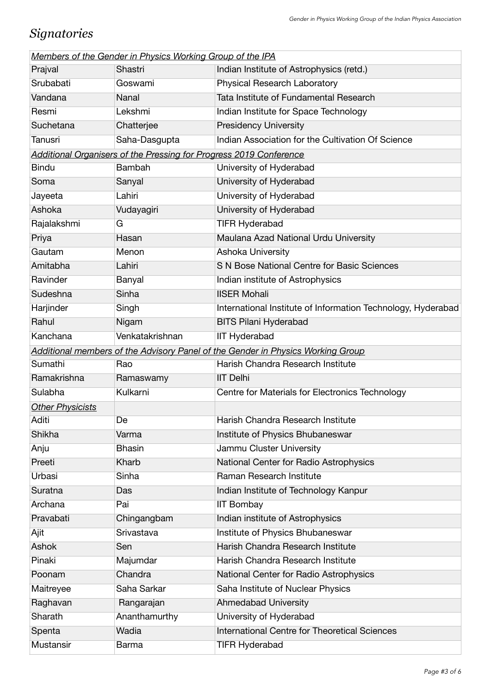## *Signatories*

| Members of the Gender in Physics Working Group of the IPA |                                                                    |                                                                                 |  |  |
|-----------------------------------------------------------|--------------------------------------------------------------------|---------------------------------------------------------------------------------|--|--|
| Prajval                                                   | Shastri                                                            | Indian Institute of Astrophysics (retd.)                                        |  |  |
| Srubabati                                                 | Goswami                                                            | Physical Research Laboratory                                                    |  |  |
| Vandana                                                   | Nanal                                                              | Tata Institute of Fundamental Research                                          |  |  |
| Resmi                                                     | Lekshmi                                                            | Indian Institute for Space Technology                                           |  |  |
| Suchetana                                                 | Chatterjee                                                         | <b>Presidency University</b>                                                    |  |  |
| Tanusri                                                   | Saha-Dasgupta                                                      | Indian Association for the Cultivation Of Science                               |  |  |
|                                                           | Additional Organisers of the Pressing for Progress 2019 Conference |                                                                                 |  |  |
| <b>Bindu</b>                                              | Bambah                                                             | University of Hyderabad                                                         |  |  |
| Soma                                                      | Sanyal                                                             | University of Hyderabad                                                         |  |  |
| Jayeeta                                                   | Lahiri                                                             | University of Hyderabad                                                         |  |  |
| Ashoka                                                    | Vudayagiri                                                         | University of Hyderabad                                                         |  |  |
| Rajalakshmi                                               | G                                                                  | <b>TIFR Hyderabad</b>                                                           |  |  |
| Priya                                                     | Hasan                                                              | Maulana Azad National Urdu University                                           |  |  |
| Gautam                                                    | Menon                                                              | Ashoka University                                                               |  |  |
| Amitabha                                                  | Lahiri                                                             | S N Bose National Centre for Basic Sciences                                     |  |  |
| Ravinder                                                  | Banyal                                                             | Indian institute of Astrophysics                                                |  |  |
| Sudeshna                                                  | Sinha                                                              | <b>IISER Mohali</b>                                                             |  |  |
| Harjinder                                                 | Singh                                                              | International Institute of Information Technology, Hyderabad                    |  |  |
| Rahul                                                     | Nigam                                                              | <b>BITS Pilani Hyderabad</b>                                                    |  |  |
| Kanchana                                                  | Venkatakrishnan                                                    | <b>IIT Hyderabad</b>                                                            |  |  |
|                                                           |                                                                    | Additional members of the Advisory Panel of the Gender in Physics Working Group |  |  |
| Sumathi                                                   | Rao                                                                | Harish Chandra Research Institute                                               |  |  |
| Ramakrishna                                               | Ramaswamy                                                          | <b>IIT Delhi</b>                                                                |  |  |
| Sulabha                                                   | Kulkarni                                                           | Centre for Materials for Electronics Technology                                 |  |  |
| <b>Other Physicists</b>                                   |                                                                    |                                                                                 |  |  |
| Aditi                                                     | De                                                                 | Harish Chandra Research Institute                                               |  |  |
| Shikha                                                    | Varma                                                              | Institute of Physics Bhubaneswar                                                |  |  |
| Anju                                                      | <b>Bhasin</b>                                                      | Jammu Cluster University                                                        |  |  |
| Preeti                                                    | Kharb                                                              | National Center for Radio Astrophysics                                          |  |  |
| Urbasi                                                    | Sinha                                                              | Raman Research Institute                                                        |  |  |
| Suratna                                                   | Das                                                                | Indian Institute of Technology Kanpur                                           |  |  |
| Archana                                                   | Pai                                                                | <b>IIT Bombay</b>                                                               |  |  |
| Pravabati                                                 | Chingangbam                                                        | Indian institute of Astrophysics                                                |  |  |
| Ajit                                                      | Srivastava                                                         | Institute of Physics Bhubaneswar                                                |  |  |
| Ashok                                                     | Sen                                                                | Harish Chandra Research Institute                                               |  |  |
| Pinaki                                                    | Majumdar                                                           | Harish Chandra Research Institute                                               |  |  |
| Poonam                                                    | Chandra                                                            | National Center for Radio Astrophysics                                          |  |  |
| Maitreyee                                                 | Saha Sarkar                                                        | Saha Institute of Nuclear Physics                                               |  |  |
| Raghavan                                                  | Rangarajan                                                         | <b>Ahmedabad University</b>                                                     |  |  |
| Sharath                                                   | Ananthamurthy                                                      | University of Hyderabad                                                         |  |  |
| Spenta                                                    | Wadia                                                              | International Centre for Theoretical Sciences                                   |  |  |
| Mustansir                                                 | Barma                                                              | <b>TIFR Hyderabad</b>                                                           |  |  |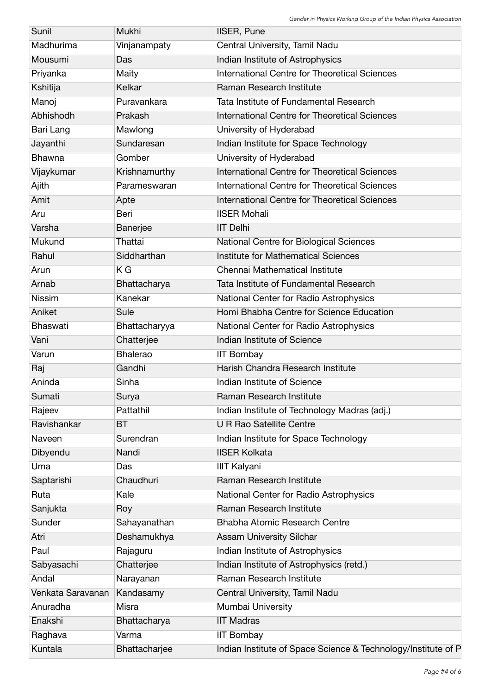| Sunil             | Mukhi           | <b>IISER, Pune</b>                                            |
|-------------------|-----------------|---------------------------------------------------------------|
| Madhurima         | Vinjanampaty    | Central University, Tamil Nadu                                |
| Mousumi           | Das             | Indian Institute of Astrophysics                              |
| Priyanka          | Maity           | <b>International Centre for Theoretical Sciences</b>          |
| Kshitija          | Kelkar          | Raman Research Institute                                      |
| Manoj             | Puravankara     | Tata Institute of Fundamental Research                        |
| Abhishodh         | Prakash         | International Centre for Theoretical Sciences                 |
| Bari Lang         | Mawlong         | University of Hyderabad                                       |
| Jayanthi          | Sundaresan      | Indian Institute for Space Technology                         |
| <b>Bhawna</b>     | Gomber          | University of Hyderabad                                       |
| Vijaykumar        | Krishnamurthy   | <b>International Centre for Theoretical Sciences</b>          |
| Ajith             | Parameswaran    | International Centre for Theoretical Sciences                 |
| Amit              | Apte            | International Centre for Theoretical Sciences                 |
| Aru               | Beri            | <b>IISER Mohali</b>                                           |
| Varsha            | Banerjee        | <b>IIT Delhi</b>                                              |
| Mukund            | Thattai         | National Centre for Biological Sciences                       |
| Rahul             | Siddharthan     | Institute for Mathematical Sciences                           |
| Arun              | ΚG              | Chennai Mathematical Institute                                |
| Arnab             | Bhattacharya    | Tata Institute of Fundamental Research                        |
| <b>Nissim</b>     | Kanekar         | National Center for Radio Astrophysics                        |
| Aniket            | Sule            | Homi Bhabha Centre for Science Education                      |
| Bhaswati          | Bhattacharyya   | National Center for Radio Astrophysics                        |
| Vani              | Chatterjee      | Indian Institute of Science                                   |
| Varun             | <b>Bhalerao</b> | <b>IIT Bombay</b>                                             |
| Raj               | Gandhi          | Harish Chandra Research Institute                             |
| Aninda            | Sinha           | Indian Institute of Science                                   |
| Sumati            | Surya           | Raman Research Institute                                      |
| Rajeev            | Pattathil       | Indian Institute of Technology Madras (adj.)                  |
| Ravishankar       | <b>BT</b>       | <b>U R Rao Satellite Centre</b>                               |
| Naveen            | Surendran       | Indian Institute for Space Technology                         |
| Dibyendu          | Nandi           | <b>IISER Kolkata</b>                                          |
| Uma               | Das             | <b>IIIT Kalyani</b>                                           |
| Saptarishi        | Chaudhuri       | Raman Research Institute                                      |
| Ruta              | Kale            | National Center for Radio Astrophysics                        |
| Sanjukta          | Roy             | Raman Research Institute                                      |
| Sunder            | Sahayanathan    | Bhabha Atomic Research Centre                                 |
| Atri              | Deshamukhya     | <b>Assam University Silchar</b>                               |
| Paul              | Rajaguru        | Indian Institute of Astrophysics                              |
| Sabyasachi        | Chatterjee      | Indian Institute of Astrophysics (retd.)                      |
| Andal             | Narayanan       | Raman Research Institute                                      |
| Venkata Saravanan | Kandasamy       | Central University, Tamil Nadu                                |
| Anuradha          | Misra           | Mumbai University                                             |
| Enakshi           | Bhattacharya    | <b>IIT Madras</b>                                             |
| Raghava           | Varma           | <b>IIT Bombay</b>                                             |
| Kuntala           | Bhattacharjee   | Indian Institute of Space Science & Technology/Institute of P |